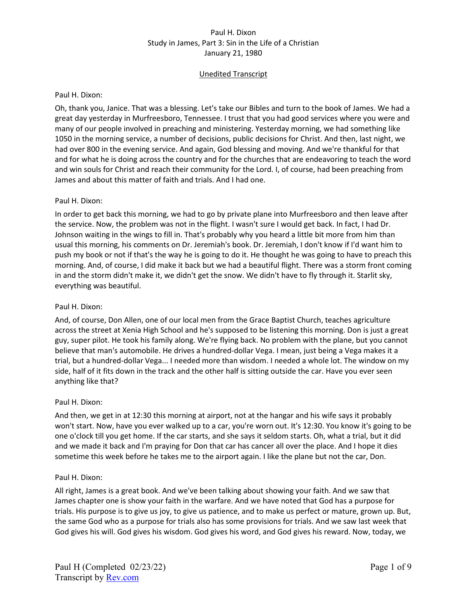## Unedited Transcript

#### Paul H. Dixon:

Oh, thank you, Janice. That was a blessing. Let's take our Bibles and turn to the book of James. We had a great day yesterday in Murfreesboro, Tennessee. I trust that you had good services where you were and many of our people involved in preaching and ministering. Yesterday morning, we had something like 1050 in the morning service, a number of decisions, public decisions for Christ. And then, last night, we had over 800 in the evening service. And again, God blessing and moving. And we're thankful for that and for what he is doing across the country and for the churches that are endeavoring to teach the word and win souls for Christ and reach their community for the Lord. I, of course, had been preaching from James and about this matter of faith and trials. And I had one.

#### Paul H. Dixon:

In order to get back this morning, we had to go by private plane into Murfreesboro and then leave after the service. Now, the problem was not in the flight. I wasn't sure I would get back. In fact, I had Dr. Johnson waiting in the wings to fill in. That's probably why you heard a little bit more from him than usual this morning, his comments on Dr. Jeremiah's book. Dr. Jeremiah, I don't know if I'd want him to push my book or not if that's the way he is going to do it. He thought he was going to have to preach this morning. And, of course, I did make it back but we had a beautiful flight. There was a storm front coming in and the storm didn't make it, we didn't get the snow. We didn't have to fly through it. Starlit sky, everything was beautiful.

### Paul H. Dixon:

And, of course, Don Allen, one of our local men from the Grace Baptist Church, teaches agriculture across the street at Xenia High School and he's supposed to be listening this morning. Don is just a great guy, super pilot. He took his family along. We're flying back. No problem with the plane, but you cannot believe that man's automobile. He drives a hundred-dollar Vega. I mean, just being a Vega makes it a trial, but a hundred-dollar Vega... I needed more than wisdom. I needed a whole lot. The window on my side, half of it fits down in the track and the other half is sitting outside the car. Have you ever seen anything like that?

#### Paul H. Dixon:

And then, we get in at 12:30 this morning at airport, not at the hangar and his wife says it probably won't start. Now, have you ever walked up to a car, you're worn out. It's 12:30. You know it's going to be one o'clock till you get home. If the car starts, and she says it seldom starts. Oh, what a trial, but it did and we made it back and I'm praying for Don that car has cancer all over the place. And I hope it dies sometime this week before he takes me to the airport again. I like the plane but not the car, Don.

#### Paul H. Dixon:

All right, James is a great book. And we've been talking about showing your faith. And we saw that James chapter one is show your faith in the warfare. And we have noted that God has a purpose for trials. His purpose is to give us joy, to give us patience, and to make us perfect or mature, grown up. But, the same God who as a purpose for trials also has some provisions for trials. And we saw last week that God gives his will. God gives his wisdom. God gives his word, and God gives his reward. Now, today, we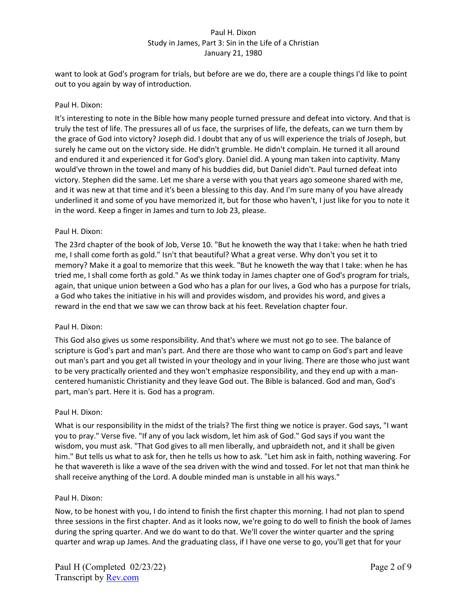want to look at God's program for trials, but before are we do, there are a couple things I'd like to point out to you again by way of introduction.

### Paul H. Dixon:

It's interesting to note in the Bible how many people turned pressure and defeat into victory. And that is truly the test of life. The pressures all of us face, the surprises of life, the defeats, can we turn them by the grace of God into victory? Joseph did. I doubt that any of us will experience the trials of Joseph, but surely he came out on the victory side. He didn't grumble. He didn't complain. He turned it all around and endured it and experienced it for God's glory. Daniel did. A young man taken into captivity. Many would've thrown in the towel and many of his buddies did, but Daniel didn't. Paul turned defeat into victory. Stephen did the same. Let me share a verse with you that years ago someone shared with me, and it was new at that time and it's been a blessing to this day. And I'm sure many of you have already underlined it and some of you have memorized it, but for those who haven't, I just like for you to note it in the word. Keep a finger in James and turn to Job 23, please.

#### Paul H. Dixon:

The 23rd chapter of the book of Job, Verse 10. "But he knoweth the way that I take: when he hath tried me, I shall come forth as gold." Isn't that beautiful? What a great verse. Why don't you set it to memory? Make it a goal to memorize that this week. "But he knoweth the way that I take: when he has tried me, I shall come forth as gold." As we think today in James chapter one of God's program for trials, again, that unique union between a God who has a plan for our lives, a God who has a purpose for trials, a God who takes the initiative in his will and provides wisdom, and provides his word, and gives a reward in the end that we saw we can throw back at his feet. Revelation chapter four.

#### Paul H. Dixon:

This God also gives us some responsibility. And that's where we must not go to see. The balance of scripture is God's part and man's part. And there are those who want to camp on God's part and leave out man's part and you get all twisted in your theology and in your living. There are those who just want to be very practically oriented and they won't emphasize responsibility, and they end up with a mancentered humanistic Christianity and they leave God out. The Bible is balanced. God and man, God's part, man's part. Here it is. God has a program.

#### Paul H. Dixon:

What is our responsibility in the midst of the trials? The first thing we notice is prayer. God says, "I want you to pray." Verse five. "If any of you lack wisdom, let him ask of God." God says if you want the wisdom, you must ask. "That God gives to all men liberally, and upbraideth not, and it shall be given him." But tells us what to ask for, then he tells us how to ask. "Let him ask in faith, nothing wavering. For he that wavereth is like a wave of the sea driven with the wind and tossed. For let not that man think he shall receive anything of the Lord. A double minded man is unstable in all his ways."

#### Paul H. Dixon:

Now, to be honest with you, I do intend to finish the first chapter this morning. I had not plan to spend three sessions in the first chapter. And as it looks now, we're going to do well to finish the book of James during the spring quarter. And we do want to do that. We'll cover the winter quarter and the spring quarter and wrap up James. And the graduating class, if I have one verse to go, you'll get that for your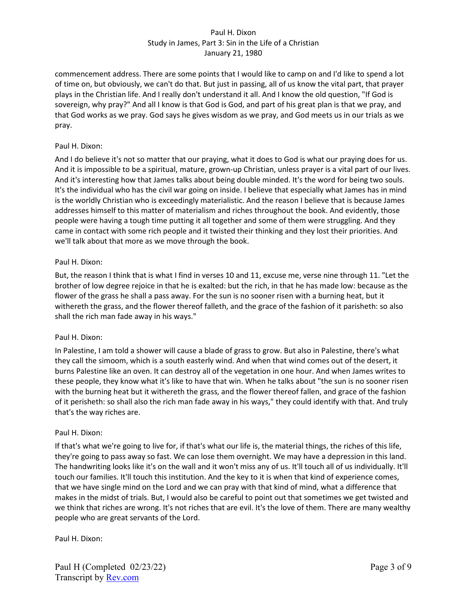commencement address. There are some points that I would like to camp on and I'd like to spend a lot of time on, but obviously, we can't do that. But just in passing, all of us know the vital part, that prayer plays in the Christian life. And I really don't understand it all. And I know the old question, "If God is sovereign, why pray?" And all I know is that God is God, and part of his great plan is that we pray, and that God works as we pray. God says he gives wisdom as we pray, and God meets us in our trials as we pray.

#### Paul H. Dixon:

And I do believe it's not so matter that our praying, what it does to God is what our praying does for us. And it is impossible to be a spiritual, mature, grown-up Christian, unless prayer is a vital part of our lives. And it's interesting how that James talks about being double minded. It's the word for being two souls. It's the individual who has the civil war going on inside. I believe that especially what James has in mind is the worldly Christian who is exceedingly materialistic. And the reason I believe that is because James addresses himself to this matter of materialism and riches throughout the book. And evidently, those people were having a tough time putting it all together and some of them were struggling. And they came in contact with some rich people and it twisted their thinking and they lost their priorities. And we'll talk about that more as we move through the book.

#### Paul H. Dixon:

But, the reason I think that is what I find in verses 10 and 11, excuse me, verse nine through 11. "Let the brother of low degree rejoice in that he is exalted: but the rich, in that he has made low: because as the flower of the grass he shall a pass away. For the sun is no sooner risen with a burning heat, but it withereth the grass, and the flower thereof falleth, and the grace of the fashion of it parisheth: so also shall the rich man fade away in his ways."

## Paul H. Dixon:

In Palestine, I am told a shower will cause a blade of grass to grow. But also in Palestine, there's what they call the simoom, which is a south easterly wind. And when that wind comes out of the desert, it burns Palestine like an oven. It can destroy all of the vegetation in one hour. And when James writes to these people, they know what it's like to have that win. When he talks about "the sun is no sooner risen with the burning heat but it withereth the grass, and the flower thereof fallen, and grace of the fashion of it perisheth: so shall also the rich man fade away in his ways," they could identify with that. And truly that's the way riches are.

#### Paul H. Dixon:

If that's what we're going to live for, if that's what our life is, the material things, the riches of this life, they're going to pass away so fast. We can lose them overnight. We may have a depression in this land. The handwriting looks like it's on the wall and it won't miss any of us. It'll touch all of us individually. It'll touch our families. It'll touch this institution. And the key to it is when that kind of experience comes, that we have single mind on the Lord and we can pray with that kind of mind, what a difference that makes in the midst of trials. But, I would also be careful to point out that sometimes we get twisted and we think that riches are wrong. It's not riches that are evil. It's the love of them. There are many wealthy people who are great servants of the Lord.

## Paul H. Dixon: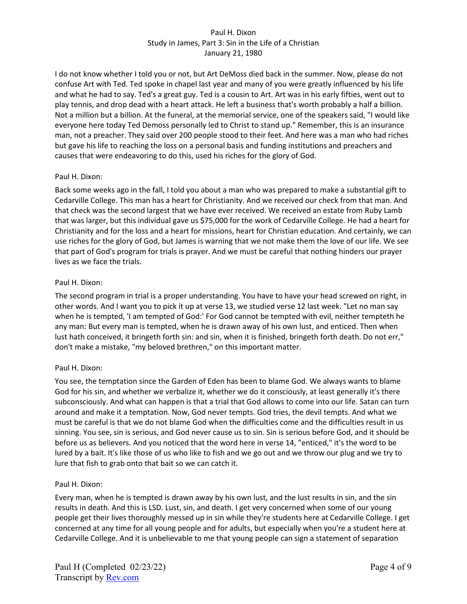I do not know whether I told you or not, but Art DeMoss died back in the summer. Now, please do not confuse Art with Ted. Ted spoke in chapel last year and many of you were greatly influenced by his life and what he had to say. Ted's a great guy. Ted is a cousin to Art. Art was in his early fifties, went out to play tennis, and drop dead with a heart attack. He left a business that's worth probably a half a billion. Not a million but a billion. At the funeral, at the memorial service, one of the speakers said, "I would like everyone here today Ted Demoss personally led to Christ to stand up." Remember, this is an insurance man, not a preacher. They said over 200 people stood to their feet. And here was a man who had riches but gave his life to reaching the loss on a personal basis and funding institutions and preachers and causes that were endeavoring to do this, used his riches for the glory of God.

#### Paul H. Dixon:

Back some weeks ago in the fall, I told you about a man who was prepared to make a substantial gift to Cedarville College. This man has a heart for Christianity. And we received our check from that man. And that check was the second largest that we have ever received. We received an estate from Ruby Lamb that was larger, but this individual gave us \$75,000 for the work of Cedarville College. He had a heart for Christianity and for the loss and a heart for missions, heart for Christian education. And certainly, we can use riches for the glory of God, but James is warning that we not make them the love of our life. We see that part of God's program for trials is prayer. And we must be careful that nothing hinders our prayer lives as we face the trials.

## Paul H. Dixon:

The second program in trial is a proper understanding. You have to have your head screwed on right, in other words. And I want you to pick it up at verse 13, we studied verse 12 last week. "Let no man say when he is tempted, 'I am tempted of God:' For God cannot be tempted with evil, neither tempteth he any man: But every man is tempted, when he is drawn away of his own lust, and enticed. Then when lust hath conceived, it bringeth forth sin: and sin, when it is finished, bringeth forth death. Do not err," don't make a mistake, "my beloved brethren," on this important matter.

## Paul H. Dixon:

You see, the temptation since the Garden of Eden has been to blame God. We always wants to blame God for his sin, and whether we verbalize it, whether we do it consciously, at least generally it's there subconsciously. And what can happen is that a trial that God allows to come into our life. Satan can turn around and make it a temptation. Now, God never tempts. God tries, the devil tempts. And what we must be careful is that we do not blame God when the difficulties come and the difficulties result in us sinning. You see, sin is serious, and God never cause us to sin. Sin is serious before God, and it should be before us as believers. And you noticed that the word here in verse 14, "enticed," it's the word to be lured by a bait. It's like those of us who like to fish and we go out and we throw our plug and we try to lure that fish to grab onto that bait so we can catch it.

## Paul H. Dixon:

Every man, when he is tempted is drawn away by his own lust, and the lust results in sin, and the sin results in death. And this is LSD. Lust, sin, and death. I get very concerned when some of our young people get their lives thoroughly messed up in sin while they're students here at Cedarville College. I get concerned at any time for all young people and for adults, but especially when you're a student here at Cedarville College. And it is unbelievable to me that young people can sign a statement of separation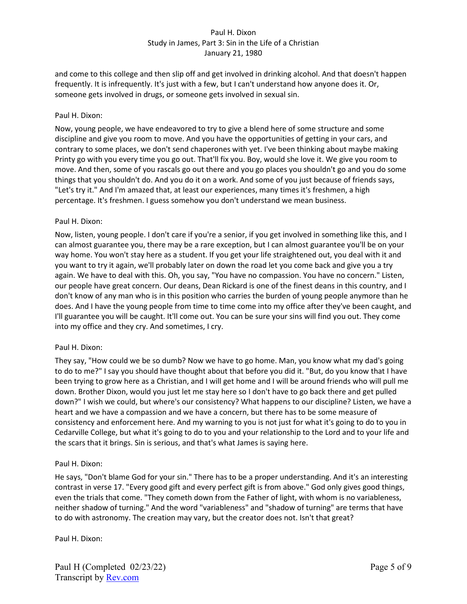and come to this college and then slip off and get involved in drinking alcohol. And that doesn't happen frequently. It is infrequently. It's just with a few, but I can't understand how anyone does it. Or, someone gets involved in drugs, or someone gets involved in sexual sin.

### Paul H. Dixon:

Now, young people, we have endeavored to try to give a blend here of some structure and some discipline and give you room to move. And you have the opportunities of getting in your cars, and contrary to some places, we don't send chaperones with yet. I've been thinking about maybe making Printy go with you every time you go out. That'll fix you. Boy, would she love it. We give you room to move. And then, some of you rascals go out there and you go places you shouldn't go and you do some things that you shouldn't do. And you do it on a work. And some of you just because of friends says, "Let's try it." And I'm amazed that, at least our experiences, many times it's freshmen, a high percentage. It's freshmen. I guess somehow you don't understand we mean business.

#### Paul H. Dixon:

Now, listen, young people. I don't care if you're a senior, if you get involved in something like this, and I can almost guarantee you, there may be a rare exception, but I can almost guarantee you'll be on your way home. You won't stay here as a student. If you get your life straightened out, you deal with it and you want to try it again, we'll probably later on down the road let you come back and give you a try again. We have to deal with this. Oh, you say, "You have no compassion. You have no concern." Listen, our people have great concern. Our deans, Dean Rickard is one of the finest deans in this country, and I don't know of any man who is in this position who carries the burden of young people anymore than he does. And I have the young people from time to time come into my office after they've been caught, and I'll guarantee you will be caught. It'll come out. You can be sure your sins will find you out. They come into my office and they cry. And sometimes, I cry.

#### Paul H. Dixon:

They say, "How could we be so dumb? Now we have to go home. Man, you know what my dad's going to do to me?" I say you should have thought about that before you did it. "But, do you know that I have been trying to grow here as a Christian, and I will get home and I will be around friends who will pull me down. Brother Dixon, would you just let me stay here so I don't have to go back there and get pulled down?" I wish we could, but where's our consistency? What happens to our discipline? Listen, we have a heart and we have a compassion and we have a concern, but there has to be some measure of consistency and enforcement here. And my warning to you is not just for what it's going to do to you in Cedarville College, but what it's going to do to you and your relationship to the Lord and to your life and the scars that it brings. Sin is serious, and that's what James is saying here.

#### Paul H. Dixon:

He says, "Don't blame God for your sin." There has to be a proper understanding. And it's an interesting contrast in verse 17. "Every good gift and every perfect gift is from above." God only gives good things, even the trials that come. "They cometh down from the Father of light, with whom is no variableness, neither shadow of turning." And the word "variableness" and "shadow of turning" are terms that have to do with astronomy. The creation may vary, but the creator does not. Isn't that great?

## Paul H. Dixon: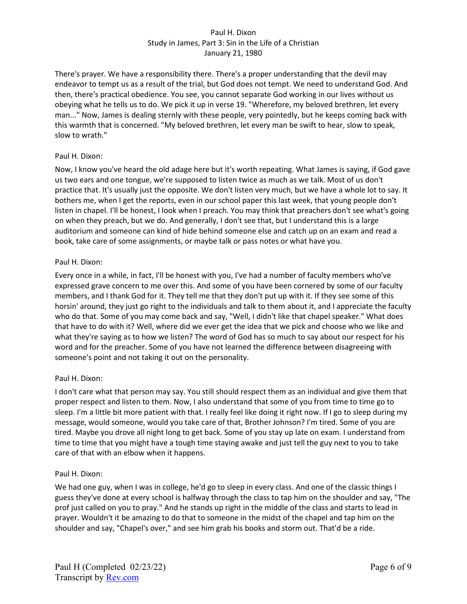There's prayer. We have a responsibility there. There's a proper understanding that the devil may endeavor to tempt us as a result of the trial, but God does not tempt. We need to understand God. And then, there's practical obedience. You see, you cannot separate God working in our lives without us obeying what he tells us to do. We pick it up in verse 19. "Wherefore, my beloved brethren, let every man..." Now, James is dealing sternly with these people, very pointedly, but he keeps coming back with this warmth that is concerned. "My beloved brethren, let every man be swift to hear, slow to speak, slow to wrath."

## Paul H. Dixon:

Now, I know you've heard the old adage here but it's worth repeating. What James is saying, if God gave us two ears and one tongue, we're supposed to listen twice as much as we talk. Most of us don't practice that. It's usually just the opposite. We don't listen very much, but we have a whole lot to say. It bothers me, when I get the reports, even in our school paper this last week, that young people don't listen in chapel. I'll be honest, I look when I preach. You may think that preachers don't see what's going on when they preach, but we do. And generally, I don't see that, but I understand this is a large auditorium and someone can kind of hide behind someone else and catch up on an exam and read a book, take care of some assignments, or maybe talk or pass notes or what have you.

#### Paul H. Dixon:

Every once in a while, in fact, I'll be honest with you, I've had a number of faculty members who've expressed grave concern to me over this. And some of you have been cornered by some of our faculty members, and I thank God for it. They tell me that they don't put up with it. If they see some of this horsin' around, they just go right to the individuals and talk to them about it, and I appreciate the faculty who do that. Some of you may come back and say, "Well, I didn't like that chapel speaker." What does that have to do with it? Well, where did we ever get the idea that we pick and choose who we like and what they're saying as to how we listen? The word of God has so much to say about our respect for his word and for the preacher. Some of you have not learned the difference between disagreeing with someone's point and not taking it out on the personality.

## Paul H. Dixon:

I don't care what that person may say. You still should respect them as an individual and give them that proper respect and listen to them. Now, I also understand that some of you from time to time go to sleep. I'm a little bit more patient with that. I really feel like doing it right now. If I go to sleep during my message, would someone, would you take care of that, Brother Johnson? I'm tired. Some of you are tired. Maybe you drove all night long to get back. Some of you stay up late on exam. I understand from time to time that you might have a tough time staying awake and just tell the guy next to you to take care of that with an elbow when it happens.

## Paul H. Dixon:

We had one guy, when I was in college, he'd go to sleep in every class. And one of the classic things I guess they've done at every school is halfway through the class to tap him on the shoulder and say, "The prof just called on you to pray." And he stands up right in the middle of the class and starts to lead in prayer. Wouldn't it be amazing to do that to someone in the midst of the chapel and tap him on the shoulder and say, "Chapel's over," and see him grab his books and storm out. That'd be a ride.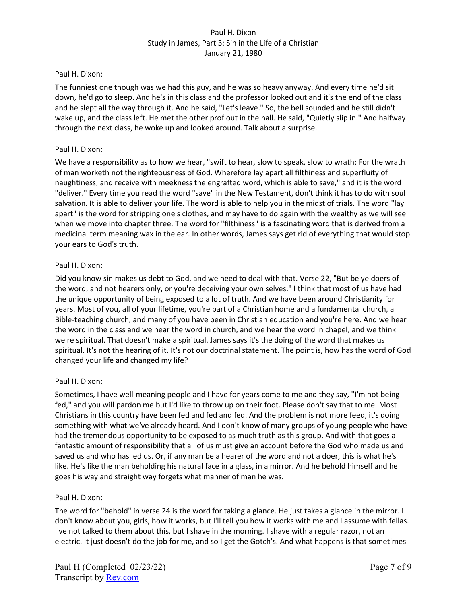#### Paul H. Dixon:

The funniest one though was we had this guy, and he was so heavy anyway. And every time he'd sit down, he'd go to sleep. And he's in this class and the professor looked out and it's the end of the class and he slept all the way through it. And he said, "Let's leave." So, the bell sounded and he still didn't wake up, and the class left. He met the other prof out in the hall. He said, "Quietly slip in." And halfway through the next class, he woke up and looked around. Talk about a surprise.

#### Paul H. Dixon:

We have a responsibility as to how we hear, "swift to hear, slow to speak, slow to wrath: For the wrath of man worketh not the righteousness of God. Wherefore lay apart all filthiness and superfluity of naughtiness, and receive with meekness the engrafted word, which is able to save," and it is the word "deliver." Every time you read the word "save" in the New Testament, don't think it has to do with soul salvation. It is able to deliver your life. The word is able to help you in the midst of trials. The word "lay apart" is the word for stripping one's clothes, and may have to do again with the wealthy as we will see when we move into chapter three. The word for "filthiness" is a fascinating word that is derived from a medicinal term meaning wax in the ear. In other words, James says get rid of everything that would stop your ears to God's truth.

#### Paul H. Dixon:

Did you know sin makes us debt to God, and we need to deal with that. Verse 22, "But be ye doers of the word, and not hearers only, or you're deceiving your own selves." I think that most of us have had the unique opportunity of being exposed to a lot of truth. And we have been around Christianity for years. Most of you, all of your lifetime, you're part of a Christian home and a fundamental church, a Bible-teaching church, and many of you have been in Christian education and you're here. And we hear the word in the class and we hear the word in church, and we hear the word in chapel, and we think we're spiritual. That doesn't make a spiritual. James says it's the doing of the word that makes us spiritual. It's not the hearing of it. It's not our doctrinal statement. The point is, how has the word of God changed your life and changed my life?

## Paul H. Dixon:

Sometimes, I have well-meaning people and I have for years come to me and they say, "I'm not being fed," and you will pardon me but I'd like to throw up on their foot. Please don't say that to me. Most Christians in this country have been fed and fed and fed. And the problem is not more feed, it's doing something with what we've already heard. And I don't know of many groups of young people who have had the tremendous opportunity to be exposed to as much truth as this group. And with that goes a fantastic amount of responsibility that all of us must give an account before the God who made us and saved us and who has led us. Or, if any man be a hearer of the word and not a doer, this is what he's like. He's like the man beholding his natural face in a glass, in a mirror. And he behold himself and he goes his way and straight way forgets what manner of man he was.

## Paul H. Dixon:

The word for "behold" in verse 24 is the word for taking a glance. He just takes a glance in the mirror. I don't know about you, girls, how it works, but I'll tell you how it works with me and I assume with fellas. I've not talked to them about this, but I shave in the morning. I shave with a regular razor, not an electric. It just doesn't do the job for me, and so I get the Gotch's. And what happens is that sometimes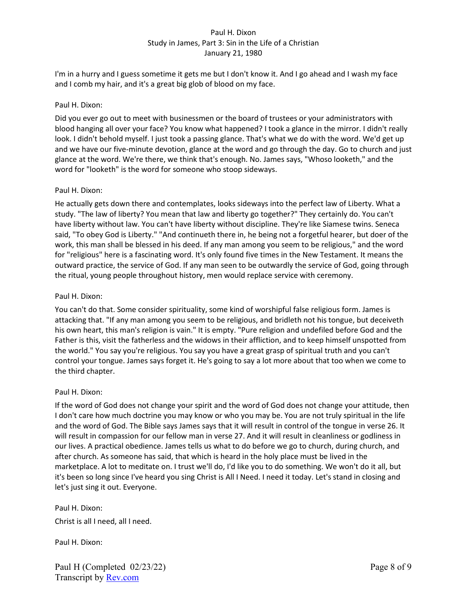I'm in a hurry and I guess sometime it gets me but I don't know it. And I go ahead and I wash my face and I comb my hair, and it's a great big glob of blood on my face.

#### Paul H. Dixon:

Did you ever go out to meet with businessmen or the board of trustees or your administrators with blood hanging all over your face? You know what happened? I took a glance in the mirror. I didn't really look. I didn't behold myself. I just took a passing glance. That's what we do with the word. We'd get up and we have our five-minute devotion, glance at the word and go through the day. Go to church and just glance at the word. We're there, we think that's enough. No. James says, "Whoso looketh," and the word for "looketh" is the word for someone who stoop sideways.

#### Paul H. Dixon:

He actually gets down there and contemplates, looks sideways into the perfect law of Liberty. What a study. "The law of liberty? You mean that law and liberty go together?" They certainly do. You can't have liberty without law. You can't have liberty without discipline. They're like Siamese twins. Seneca said, "To obey God is Liberty." "And continueth there in, he being not a forgetful hearer, but doer of the work, this man shall be blessed in his deed. If any man among you seem to be religious," and the word for "religious" here is a fascinating word. It's only found five times in the New Testament. It means the outward practice, the service of God. If any man seen to be outwardly the service of God, going through the ritual, young people throughout history, men would replace service with ceremony.

### Paul H. Dixon:

You can't do that. Some consider spirituality, some kind of worshipful false religious form. James is attacking that. "If any man among you seem to be religious, and bridleth not his tongue, but deceiveth his own heart, this man's religion is vain." It is empty. "Pure religion and undefiled before God and the Father is this, visit the fatherless and the widows in their affliction, and to keep himself unspotted from the world." You say you're religious. You say you have a great grasp of spiritual truth and you can't control your tongue. James says forget it. He's going to say a lot more about that too when we come to the third chapter.

#### Paul H. Dixon:

If the word of God does not change your spirit and the word of God does not change your attitude, then I don't care how much doctrine you may know or who you may be. You are not truly spiritual in the life and the word of God. The Bible says James says that it will result in control of the tongue in verse 26. It will result in compassion for our fellow man in verse 27. And it will result in cleanliness or godliness in our lives. A practical obedience. James tells us what to do before we go to church, during church, and after church. As someone has said, that which is heard in the holy place must be lived in the marketplace. A lot to meditate on. I trust we'll do, I'd like you to do something. We won't do it all, but it's been so long since I've heard you sing Christ is All I Need. I need it today. Let's stand in closing and let's just sing it out. Everyone.

Paul H. Dixon: Christ is all I need, all I need.

Paul H. Dixon: